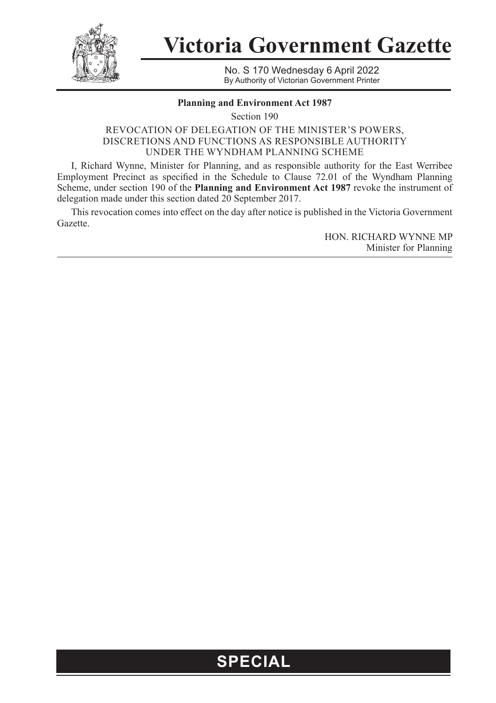

**Victoria Government Gazette**

No. S 170 Wednesday 6 April 2022 By Authority of Victorian Government Printer

## **Planning and Environment Act 1987**

Section 190

## REVOCATION OF DELEGATION OF THE MINISTER'S POWERS, DISCRETIONS AND FUNCTIONS AS RESPONSIBLE AUTHORITY UNDER THE WYNDHAM PLANNING SCHEME

I, Richard Wynne, Minister for Planning, and as responsible authority for the East Werribee Employment Precinct as specified in the Schedule to Clause 72.01 of the Wyndham Planning Scheme, under section 190 of the **Planning and Environment Act 1987** revoke the instrument of delegation made under this section dated 20 September 2017.

This revocation comes into effect on the day after notice is published in the Victoria Government Gazette.

> HON. RICHARD WYNNE MP Minister for Planning

## **SPECIAL**